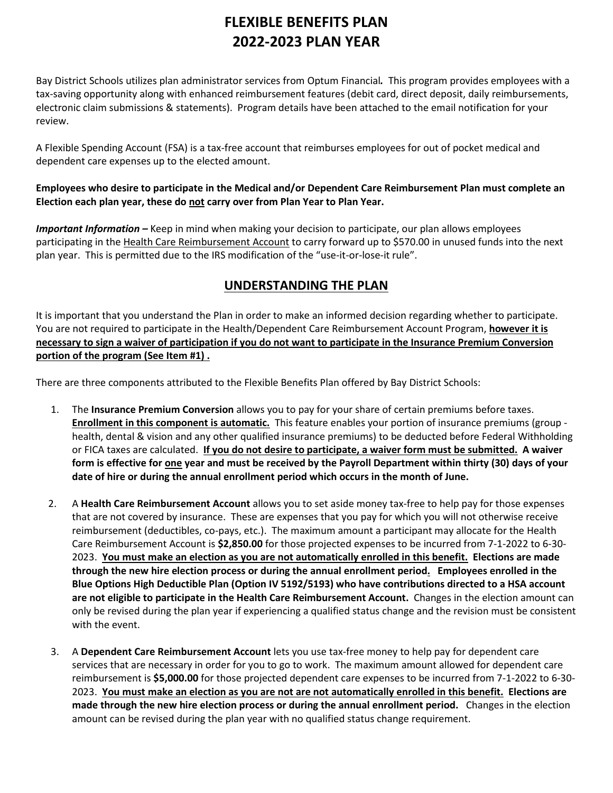## **FLEXIBLE BENEFITS PLAN 2022-2023 PLAN YEAR**

Bay District Schools utilizes plan administrator services from Optum Financial*.* This program provides employees with a tax-saving opportunity along with enhanced reimbursement features (debit card, direct deposit, daily reimbursements, electronic claim submissions & statements). Program details have been attached to the email notification for your review.

A Flexible Spending Account (FSA) is a tax-free account that reimburses employees for out of pocket medical and dependent care expenses up to the elected amount.

## **Employees who desire to participate in the Medical and/or Dependent Care Reimbursement Plan must complete an Election each plan year, these do not carry over from Plan Year to Plan Year.**

*Important Information –* Keep in mind when making your decision to participate, our plan allows employees participating in the Health Care Reimbursement Account to carry forward up to \$570.00 in unused funds into the next plan year. This is permitted due to the IRS modification of the "use-it-or-lose-it rule".

## **UNDERSTANDING THE PLAN**

It is important that you understand the Plan in order to make an informed decision regarding whether to participate. You are not required to participate in the Health/Dependent Care Reimbursement Account Program, **however it is necessary to sign a waiver of participation if you do not want to participate in the Insurance Premium Conversion portion of the program (See Item #1) .**

There are three components attributed to the Flexible Benefits Plan offered by Bay District Schools:

- 1. The **Insurance Premium Conversion** allows you to pay for your share of certain premiums before taxes. **Enrollment in this component is automatic.** This feature enables your portion of insurance premiums (group health, dental & vision and any other qualified insurance premiums) to be deducted before Federal Withholding or FICA taxes are calculated. **If you do not desire to participate, a waiver form must be submitted. A waiver form is effective for one year and must be received by the Payroll Department within thirty (30) days of your date of hire or during the annual enrollment period which occurs in the month of June.**
- 2. A **Health Care Reimbursement Account** allows you to set aside money tax-free to help pay for those expenses that are not covered by insurance. These are expenses that you pay for which you will not otherwise receive reimbursement (deductibles, co-pays, etc.). The maximum amount a participant may allocate for the Health Care Reimbursement Account is **\$2,850.00** for those projected expenses to be incurred from 7-1-2022 to 6-30- 2023. **You must make an election as you are not automatically enrolled in this benefit. Elections are made through the new hire election process or during the annual enrollment period. Employees enrolled in the Blue Options High Deductible Plan (Option IV 5192/5193) who have contributions directed to a HSA account are not eligible to participate in the Health Care Reimbursement Account.** Changes in the election amount can only be revised during the plan year if experiencing a qualified status change and the revision must be consistent with the event.
- 3. A **Dependent Care Reimbursement Account** lets you use tax-free money to help pay for dependent care services that are necessary in order for you to go to work. The maximum amount allowed for dependent care reimbursement is **\$5,000.00** for those projected dependent care expenses to be incurred from 7-1-2022 to 6-30- 2023. **You must make an election as you are not are not automatically enrolled in this benefit. Elections are made through the new hire election process or during the annual enrollment period.** Changes in the election amount can be revised during the plan year with no qualified status change requirement.